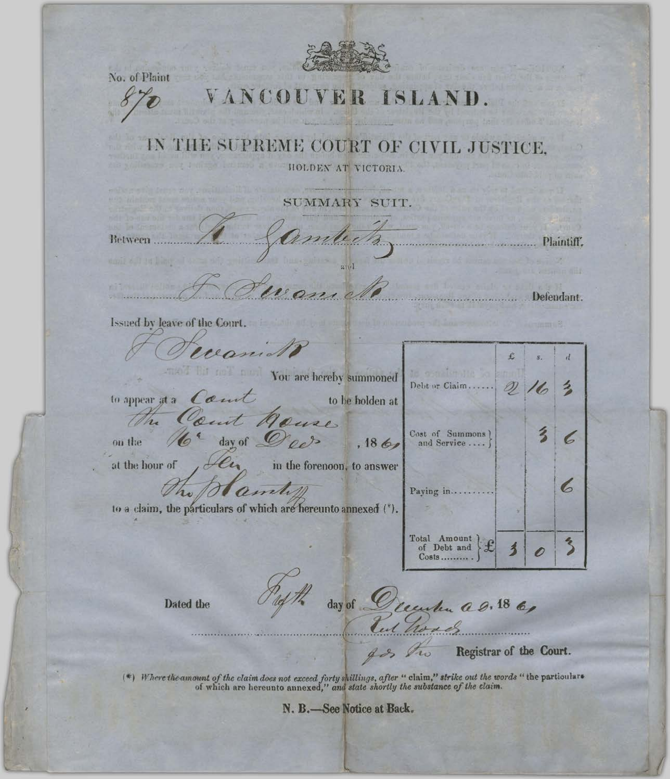No. of Plaint VANCOUVER ISLAND IN THE SUPREME COURT OF CIVIL JUSTICE. HOLDEN AT VICTORIA SUMMARY SUIT. Between Plaintiff. Defendant. Issued by leave of the Court. mand £  $\overline{d}$ You are hereby summoned Debt or Claim.... D) 么 to appear at a count to be holden at ent suse.  $\overline{\mathbf{3}}$ Cost of Summons  $\epsilon$ ces day of on the  $, 186$ and Service .... at the hour of in the forenoon, to answer 6 amele Paying in..... to a claim, the particulars of which are hereunto annexed (\*). Total Amount<br>of Debt and  $\frac{2}{3}$  $\overline{\mathbf{3}}$ 0 Costs.......... day of hu a g. 18 6, Dated the Registrar of the Court.  $\tau_{\omega}$ 

(\*) Where the amount of the claim does not exceed forty shillings, after " claim," strike out the words " the particulars of which are hereunto annexed," and state shortly the substance of the claim.

N. B.-See Notice at Back.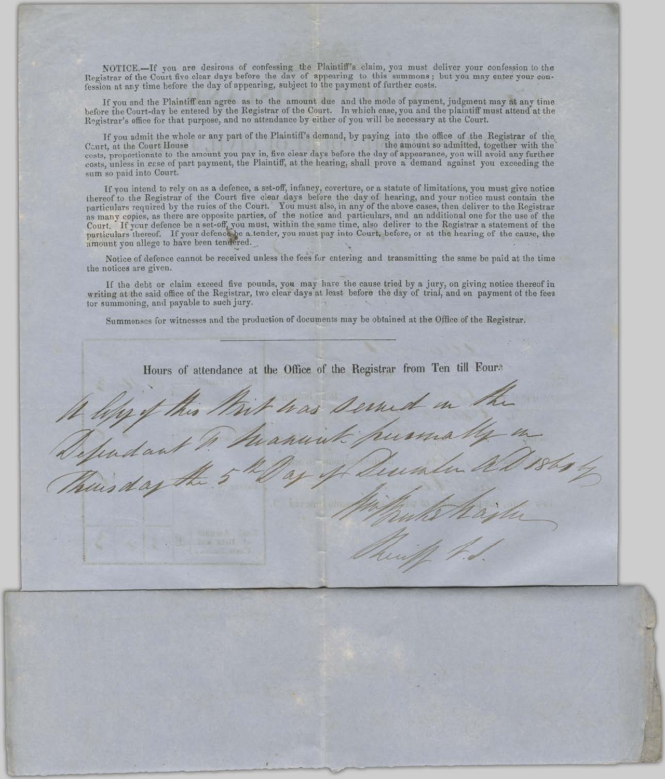NOTICE.--If you are desirous of confessing the Plaintiff's claim, you must deliver your confession to the Registrar of the Court five clear days before the day of appearing to this summons; but you may enter your confession at any time before the day of appearing, subject to the payment of further costs.

If you and the Plaintiff can agree as to the amount due and the mode of payment, judgment may at any time before the Court-day be entered by the Registrar of the Court. In which case, you and the plaintiff must attend at the Registrar's office for that purpose, and no attendance by either of you will be necessary at the Court.

If you admit the whole or any part of the Plaintiff's demand, by paying into the office of the Registrar of the, the amount so admitted, together with the Court, at the Court House costs, proportionate to the amount you pay in, five clear days before the day of appearance, you will avoid any further costs, unless in case of part payment, the Plaintiff, at the hearing, shall prove a demand against you exceeding the sum so paid into Court.

If you intend to rely on as a defence, a set-off, infancy, coverture, or a statute of limitations, you must give notice<br>thereof to the Registrar of the Court five clear days before the day of hearing, and your notice must as many copies, as there are opposite parties, of the notice and particulars, and an additional one for the use of the court. If your defence be a set-off, you must, within the same time, also deliver to the Registrar a statement of the particulars thereof. If your defence be a tender, you must pay into Court, before, or at the hearing of

Notice of defence cannot be received unless the fees for entering and transmitting the same be paid at the time the notices are given.

If the debt or claim exceed five pounds, you may have the cause tried by a jury, on giving notice thereof in writing at the said office of the Registrar, two clear days at least before the day of trial, and on payment of the fees tor summoning, and payable to such jury.

Summonses for witnesses and the production of documents may be obtained at the Office of the Registrar.

as serud wannich hu

Hours of attendance at the Office of the Registrar from Ten till Four.